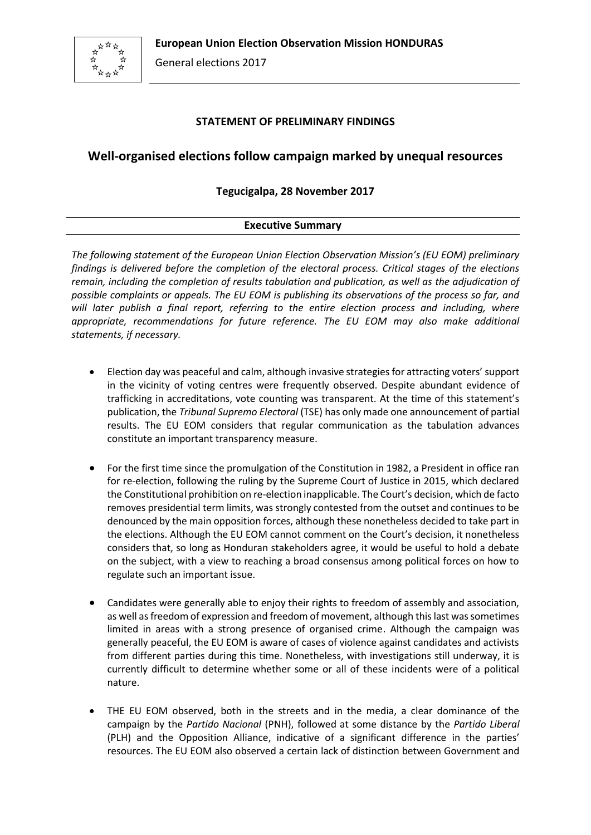

## **STATEMENT OF PRELIMINARY FINDINGS**

# **Well-organised elections follow campaign marked by unequal resources**

# **Tegucigalpa, 28 November 2017**

## **Executive Summary**

*The following statement of the European Union Election Observation Mission's (EU EOM) preliminary findings is delivered before the completion of the electoral process. Critical stages of the elections remain, including the completion of results tabulation and publication, as well as the adjudication of possible complaints or appeals. The EU EOM is publishing its observations of the process so far, and will later publish a final report, referring to the entire election process and including, where appropriate, recommendations for future reference. The EU EOM may also make additional statements, if necessary.*

- Election day was peaceful and calm, although invasive strategies for attracting voters' support in the vicinity of voting centres were frequently observed. Despite abundant evidence of trafficking in accreditations, vote counting was transparent. At the time of this statement's publication, the *Tribunal Supremo Electoral* (TSE) has only made one announcement of partial results. The EU EOM considers that regular communication as the tabulation advances constitute an important transparency measure.
- For the first time since the promulgation of the Constitution in 1982, a President in office ran for re-election, following the ruling by the Supreme Court of Justice in 2015, which declared the Constitutional prohibition on re-election inapplicable. The Court's decision, which de facto removes presidential term limits, was strongly contested from the outset and continues to be denounced by the main opposition forces, although these nonetheless decided to take part in the elections. Although the EU EOM cannot comment on the Court's decision, it nonetheless considers that, so long as Honduran stakeholders agree, it would be useful to hold a debate on the subject, with a view to reaching a broad consensus among political forces on how to regulate such an important issue.
- Candidates were generally able to enjoy their rights to freedom of assembly and association, as well as freedom of expression and freedom of movement, although this last was sometimes limited in areas with a strong presence of organised crime. Although the campaign was generally peaceful, the EU EOM is aware of cases of violence against candidates and activists from different parties during this time. Nonetheless, with investigations still underway, it is currently difficult to determine whether some or all of these incidents were of a political nature.
- THE EU EOM observed, both in the streets and in the media, a clear dominance of the campaign by the *Partido Nacional* (PNH), followed at some distance by the *Partido Liberal* (PLH) and the Opposition Alliance, indicative of a significant difference in the parties' resources. The EU EOM also observed a certain lack of distinction between Government and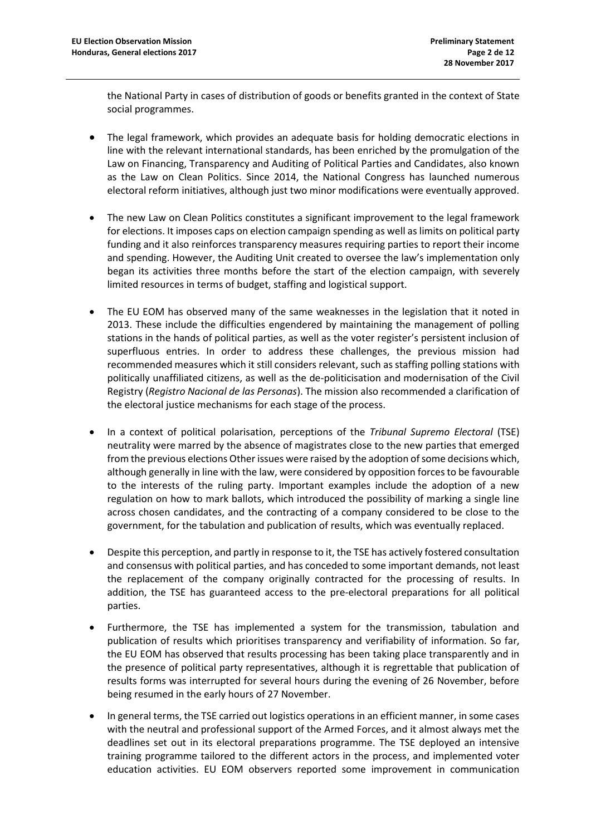the National Party in cases of distribution of goods or benefits granted in the context of State social programmes.

- The legal framework, which provides an adequate basis for holding democratic elections in line with the relevant international standards, has been enriched by the promulgation of the Law on Financing, Transparency and Auditing of Political Parties and Candidates, also known as the Law on Clean Politics. Since 2014, the National Congress has launched numerous electoral reform initiatives, although just two minor modifications were eventually approved.
- The new Law on Clean Politics constitutes a significant improvement to the legal framework for elections. It imposes caps on election campaign spending as well as limits on political party funding and it also reinforces transparency measures requiring parties to report their income and spending. However, the Auditing Unit created to oversee the law's implementation only began its activities three months before the start of the election campaign, with severely limited resources in terms of budget, staffing and logistical support.
- The EU EOM has observed many of the same weaknesses in the legislation that it noted in 2013. These include the difficulties engendered by maintaining the management of polling stations in the hands of political parties, as well as the voter register's persistent inclusion of superfluous entries. In order to address these challenges, the previous mission had recommended measures which it still considers relevant, such as staffing polling stations with politically unaffiliated citizens, as well as the de-politicisation and modernisation of the Civil Registry (*Registro Nacional de las Personas*). The mission also recommended a clarification of the electoral justice mechanisms for each stage of the process.
- In a context of political polarisation, perceptions of the *Tribunal Supremo Electoral* (TSE) neutrality were marred by the absence of magistrates close to the new parties that emerged from the previous elections Other issues were raised by the adoption of some decisions which, although generally in line with the law, were considered by opposition forces to be favourable to the interests of the ruling party. Important examples include the adoption of a new regulation on how to mark ballots, which introduced the possibility of marking a single line across chosen candidates, and the contracting of a company considered to be close to the government, for the tabulation and publication of results, which was eventually replaced.
- Despite this perception, and partly in response to it, the TSE has actively fostered consultation and consensus with political parties, and has conceded to some important demands, not least the replacement of the company originally contracted for the processing of results. In addition, the TSE has guaranteed access to the pre-electoral preparations for all political parties.
- Furthermore, the TSE has implemented a system for the transmission, tabulation and publication of results which prioritises transparency and verifiability of information. So far, the EU EOM has observed that results processing has been taking place transparently and in the presence of political party representatives, although it is regrettable that publication of results forms was interrupted for several hours during the evening of 26 November, before being resumed in the early hours of 27 November.
- In general terms, the TSE carried out logistics operations in an efficient manner, in some cases with the neutral and professional support of the Armed Forces, and it almost always met the deadlines set out in its electoral preparations programme. The TSE deployed an intensive training programme tailored to the different actors in the process, and implemented voter education activities. EU EOM observers reported some improvement in communication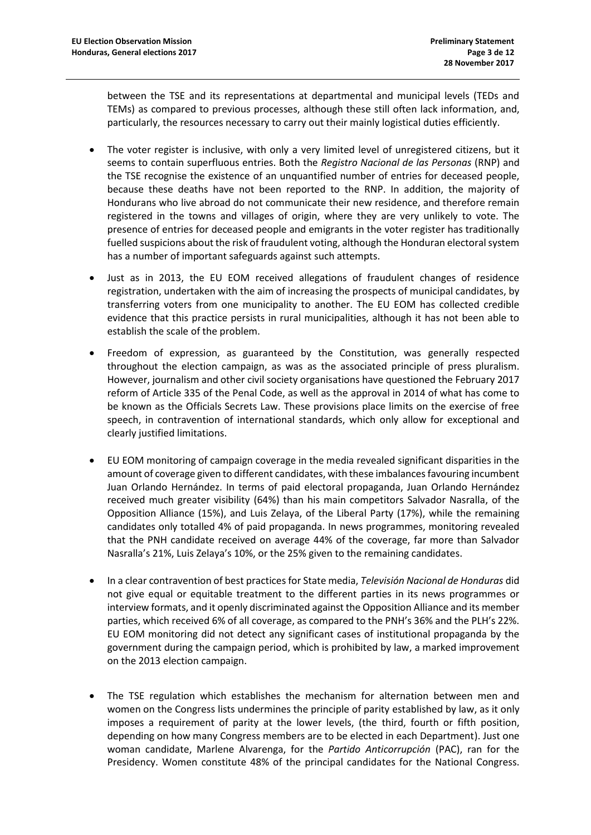between the TSE and its representations at departmental and municipal levels (TEDs and TEMs) as compared to previous processes, although these still often lack information, and, particularly, the resources necessary to carry out their mainly logistical duties efficiently.

- The voter register is inclusive, with only a very limited level of unregistered citizens, but it seems to contain superfluous entries. Both the *Registro Nacional de las Personas* (RNP) and the TSE recognise the existence of an unquantified number of entries for deceased people, because these deaths have not been reported to the RNP. In addition, the majority of Hondurans who live abroad do not communicate their new residence, and therefore remain registered in the towns and villages of origin, where they are very unlikely to vote. The presence of entries for deceased people and emigrants in the voter register has traditionally fuelled suspicions about the risk of fraudulent voting, although the Honduran electoral system has a number of important safeguards against such attempts.
- Just as in 2013, the EU EOM received allegations of fraudulent changes of residence registration, undertaken with the aim of increasing the prospects of municipal candidates, by transferring voters from one municipality to another. The EU EOM has collected credible evidence that this practice persists in rural municipalities, although it has not been able to establish the scale of the problem.
- Freedom of expression, as guaranteed by the Constitution, was generally respected throughout the election campaign, as was as the associated principle of press pluralism. However, journalism and other civil society organisations have questioned the February 2017 reform of Article 335 of the Penal Code, as well as the approval in 2014 of what has come to be known as the Officials Secrets Law. These provisions place limits on the exercise of free speech, in contravention of international standards, which only allow for exceptional and clearly justified limitations.
- EU EOM monitoring of campaign coverage in the media revealed significant disparities in the amount of coverage given to different candidates, with these imbalances favouring incumbent Juan Orlando Hernández. In terms of paid electoral propaganda, Juan Orlando Hernández received much greater visibility (64%) than his main competitors Salvador Nasralla, of the Opposition Alliance (15%), and Luis Zelaya, of the Liberal Party (17%), while the remaining candidates only totalled 4% of paid propaganda. In news programmes, monitoring revealed that the PNH candidate received on average 44% of the coverage, far more than Salvador Nasralla's 21%, Luis Zelaya's 10%, or the 25% given to the remaining candidates.
- In a clear contravention of best practices for State media, *Televisión Nacional de Honduras* did not give equal or equitable treatment to the different parties in its news programmes or interview formats, and it openly discriminated against the Opposition Alliance and its member parties, which received 6% of all coverage, as compared to the PNH's 36% and the PLH's 22%. EU EOM monitoring did not detect any significant cases of institutional propaganda by the government during the campaign period, which is prohibited by law, a marked improvement on the 2013 election campaign.
- The TSE regulation which establishes the mechanism for alternation between men and women on the Congress lists undermines the principle of parity established by law, as it only imposes a requirement of parity at the lower levels, (the third, fourth or fifth position, depending on how many Congress members are to be elected in each Department). Just one woman candidate, Marlene Alvarenga, for the *Partido Anticorrupción* (PAC), ran for the Presidency. Women constitute 48% of the principal candidates for the National Congress.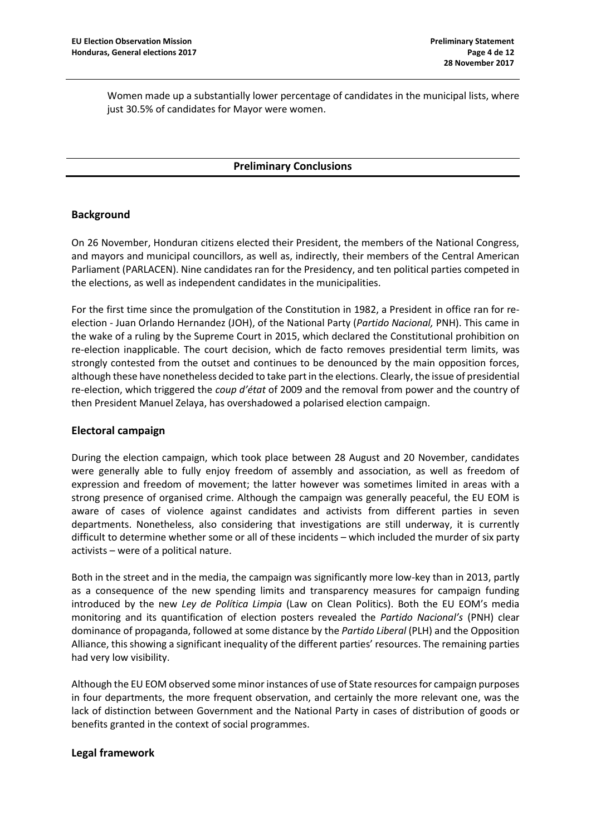Women made up a substantially lower percentage of candidates in the municipal lists, where just 30.5% of candidates for Mayor were women.

#### **Preliminary Conclusions**

## **Background**

On 26 November, Honduran citizens elected their President, the members of the National Congress, and mayors and municipal councillors, as well as, indirectly, their members of the Central American Parliament (PARLACEN). Nine candidates ran for the Presidency, and ten political parties competed in the elections, as well as independent candidates in the municipalities.

For the first time since the promulgation of the Constitution in 1982, a President in office ran for reelection - Juan Orlando Hernandez (JOH), of the National Party (*Partido Nacional,* PNH). This came in the wake of a ruling by the Supreme Court in 2015, which declared the Constitutional prohibition on re-election inapplicable. The court decision, which de facto removes presidential term limits, was strongly contested from the outset and continues to be denounced by the main opposition forces, although these have nonetheless decided to take part in the elections. Clearly, the issue of presidential re-election, which triggered the *coup d'état* of 2009 and the removal from power and the country of then President Manuel Zelaya, has overshadowed a polarised election campaign.

#### **Electoral campaign**

During the election campaign, which took place between 28 August and 20 November, candidates were generally able to fully enjoy freedom of assembly and association, as well as freedom of expression and freedom of movement; the latter however was sometimes limited in areas with a strong presence of organised crime. Although the campaign was generally peaceful, the EU EOM is aware of cases of violence against candidates and activists from different parties in seven departments. Nonetheless, also considering that investigations are still underway, it is currently difficult to determine whether some or all of these incidents – which included the murder of six party activists – were of a political nature.

Both in the street and in the media, the campaign was significantly more low-key than in 2013, partly as a consequence of the new spending limits and transparency measures for campaign funding introduced by the new *Ley de Política Limpia* (Law on Clean Politics). Both the EU EOM's media monitoring and its quantification of election posters revealed the *Partido Nacional's* (PNH) clear dominance of propaganda, followed at some distance by the *Partido Liberal* (PLH) and the Opposition Alliance, this showing a significant inequality of the different parties' resources. The remaining parties had very low visibility.

Although the EU EOM observed some minor instances of use of State resources for campaign purposes in four departments, the more frequent observation, and certainly the more relevant one, was the lack of distinction between Government and the National Party in cases of distribution of goods or benefits granted in the context of social programmes.

#### **Legal framework**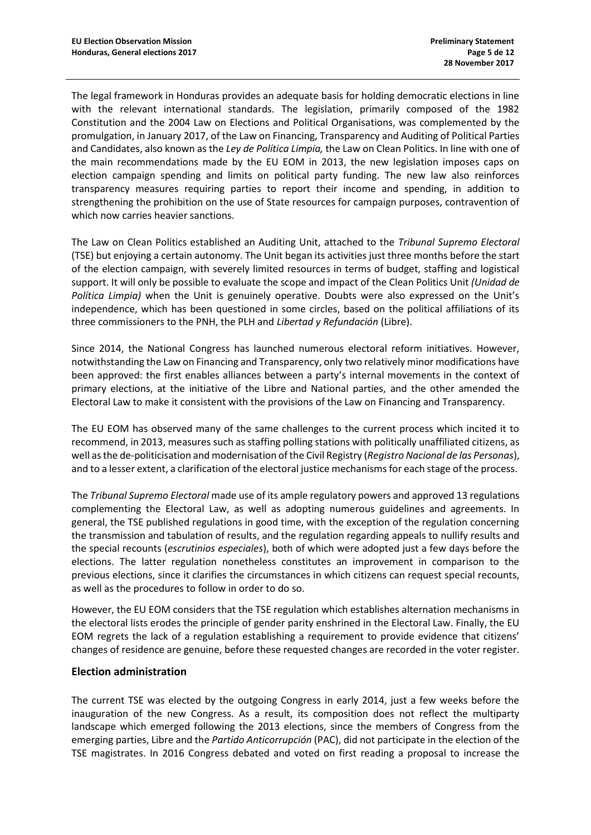The legal framework in Honduras provides an adequate basis for holding democratic elections in line with the relevant international standards. The legislation, primarily composed of the 1982 Constitution and the 2004 Law on Elections and Political Organisations, was complemented by the promulgation, in January 2017, of the Law on Financing, Transparency and Auditing of Political Parties and Candidates, also known as the *Ley de Política Limpia,* the Law on Clean Politics. In line with one of the main recommendations made by the EU EOM in 2013, the new legislation imposes caps on election campaign spending and limits on political party funding. The new law also reinforces transparency measures requiring parties to report their income and spending, in addition to strengthening the prohibition on the use of State resources for campaign purposes, contravention of which now carries heavier sanctions.

The Law on Clean Politics established an Auditing Unit, attached to the *Tribunal Supremo Electoral* (TSE) but enjoying a certain autonomy. The Unit began its activities just three months before the start of the election campaign, with severely limited resources in terms of budget, staffing and logistical support. It will only be possible to evaluate the scope and impact of the Clean Politics Unit *(Unidad de Política Limpia)* when the Unit is genuinely operative. Doubts were also expressed on the Unit's independence, which has been questioned in some circles, based on the political affiliations of its three commissioners to the PNH, the PLH and *Libertad y Refundación* (Libre).

Since 2014, the National Congress has launched numerous electoral reform initiatives. However, notwithstanding the Law on Financing and Transparency, only two relatively minor modifications have been approved: the first enables alliances between a party's internal movements in the context of primary elections, at the initiative of the Libre and National parties, and the other amended the Electoral Law to make it consistent with the provisions of the Law on Financing and Transparency.

The EU EOM has observed many of the same challenges to the current process which incited it to recommend, in 2013, measures such as staffing polling stations with politically unaffiliated citizens, as well as the de-politicisation and modernisation of the Civil Registry (*Registro Nacional de las Personas*), and to a lesser extent, a clarification of the electoral justice mechanisms for each stage of the process.

The *Tribunal Supremo Electoral* made use of its ample regulatory powers and approved 13 regulations complementing the Electoral Law, as well as adopting numerous guidelines and agreements. In general, the TSE published regulations in good time, with the exception of the regulation concerning the transmission and tabulation of results, and the regulation regarding appeals to nullify results and the special recounts (*escrutinios especiales*), both of which were adopted just a few days before the elections. The latter regulation nonetheless constitutes an improvement in comparison to the previous elections, since it clarifies the circumstances in which citizens can request special recounts, as well as the procedures to follow in order to do so.

However, the EU EOM considers that the TSE regulation which establishes alternation mechanisms in the electoral lists erodes the principle of gender parity enshrined in the Electoral Law. Finally, the EU EOM regrets the lack of a regulation establishing a requirement to provide evidence that citizens' changes of residence are genuine, before these requested changes are recorded in the voter register.

## **Election administration**

The current TSE was elected by the outgoing Congress in early 2014, just a few weeks before the inauguration of the new Congress. As a result, its composition does not reflect the multiparty landscape which emerged following the 2013 elections, since the members of Congress from the emerging parties, Libre and the *Partido Anticorrupción* (PAC), did not participate in the election of the TSE magistrates. In 2016 Congress debated and voted on first reading a proposal to increase the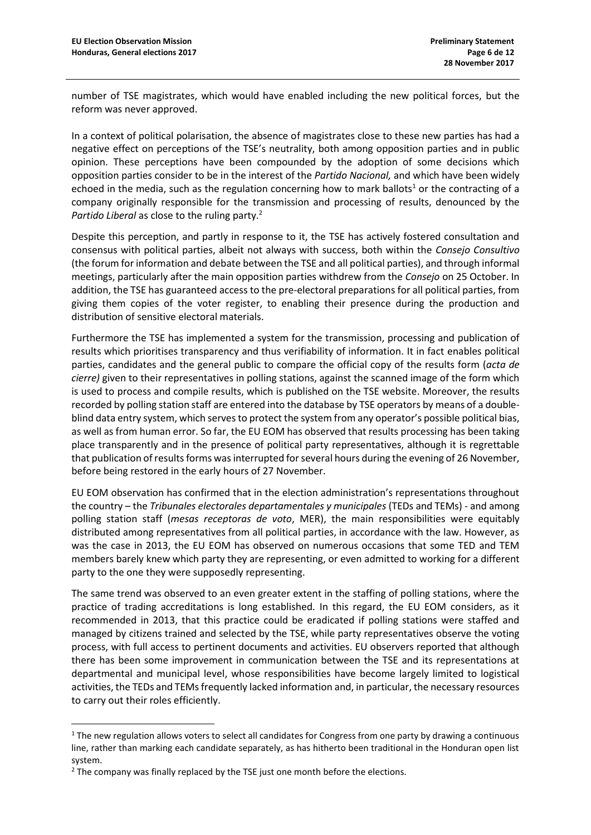number of TSE magistrates, which would have enabled including the new political forces, but the reform was never approved.

In a context of political polarisation, the absence of magistrates close to these new parties has had a negative effect on perceptions of the TSE's neutrality, both among opposition parties and in public opinion. These perceptions have been compounded by the adoption of some decisions which opposition parties consider to be in the interest of the *Partido Nacional,* and which have been widely echoed in the media, such as the regulation concerning how to mark ballots<sup>1</sup> or the contracting of a company originally responsible for the transmission and processing of results, denounced by the *Partido Liberal* as close to the ruling party.<sup>2</sup>

Despite this perception, and partly in response to it, the TSE has actively fostered consultation and consensus with political parties, albeit not always with success, both within the *Consejo Consultivo*  (the forum for information and debate between the TSE and all political parties), and through informal meetings, particularly after the main opposition parties withdrew from the *Consejo* on 25 October. In addition, the TSE has guaranteed access to the pre-electoral preparations for all political parties, from giving them copies of the voter register, to enabling their presence during the production and distribution of sensitive electoral materials.

Furthermore the TSE has implemented a system for the transmission, processing and publication of results which prioritises transparency and thus verifiability of information. It in fact enables political parties, candidates and the general public to compare the official copy of the results form (*acta de cierre)* given to their representatives in polling stations, against the scanned image of the form which is used to process and compile results, which is published on the TSE website. Moreover, the results recorded by polling station staff are entered into the database by TSE operators by means of a doubleblind data entry system, which serves to protect the system from any operator's possible political bias, as well as from human error. So far, the EU EOM has observed that results processing has been taking place transparently and in the presence of political party representatives, although it is regrettable that publication of results forms was interrupted for several hours during the evening of 26 November, before being restored in the early hours of 27 November.

EU EOM observation has confirmed that in the election administration's representations throughout the country – the *Tribunales electorales departamentales y municipales* (TEDs and TEMs) - and among polling station staff (*mesas receptoras de voto*, MER), the main responsibilities were equitably distributed among representatives from all political parties, in accordance with the law. However, as was the case in 2013, the EU EOM has observed on numerous occasions that some TED and TEM members barely knew which party they are representing, or even admitted to working for a different party to the one they were supposedly representing.

The same trend was observed to an even greater extent in the staffing of polling stations, where the practice of trading accreditations is long established. In this regard, the EU EOM considers, as it recommended in 2013, that this practice could be eradicated if polling stations were staffed and managed by citizens trained and selected by the TSE, while party representatives observe the voting process, with full access to pertinent documents and activities. EU observers reported that although there has been some improvement in communication between the TSE and its representations at departmental and municipal level, whose responsibilities have become largely limited to logistical activities, the TEDs and TEMs frequently lacked information and, in particular, the necessary resources to carry out their roles efficiently.

1

 $1$  The new regulation allows voters to select all candidates for Congress from one party by drawing a continuous line, rather than marking each candidate separately, as has hitherto been traditional in the Honduran open list system.

 $2$  The company was finally replaced by the TSE just one month before the elections.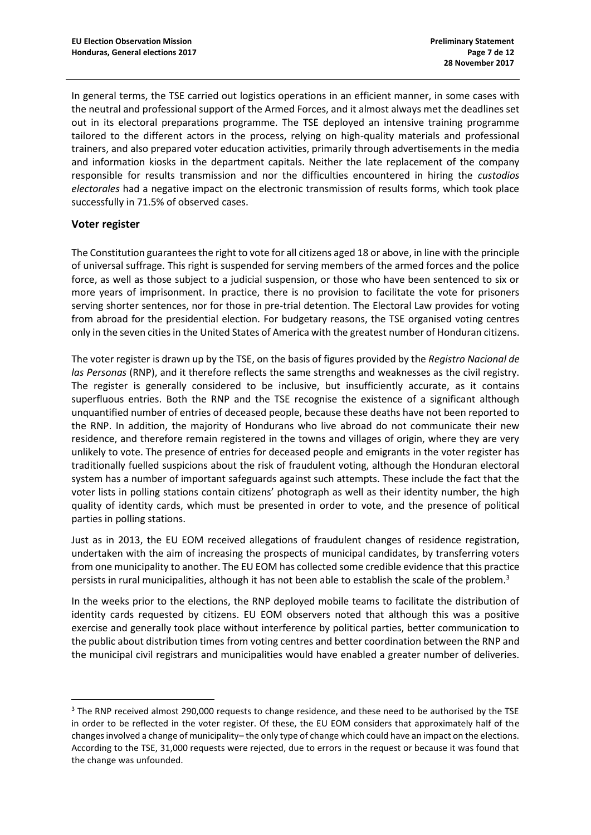In general terms, the TSE carried out logistics operations in an efficient manner, in some cases with the neutral and professional support of the Armed Forces, and it almost always met the deadlines set out in its electoral preparations programme. The TSE deployed an intensive training programme tailored to the different actors in the process, relying on high-quality materials and professional trainers, and also prepared voter education activities, primarily through advertisements in the media and information kiosks in the department capitals. Neither the late replacement of the company responsible for results transmission and nor the difficulties encountered in hiring the *custodios electorales* had a negative impact on the electronic transmission of results forms, which took place successfully in 71.5% of observed cases.

## **Voter register**

1

The Constitution guarantees the right to vote for all citizens aged 18 or above, in line with the principle of universal suffrage. This right is suspended for serving members of the armed forces and the police force, as well as those subject to a judicial suspension, or those who have been sentenced to six or more years of imprisonment. In practice, there is no provision to facilitate the vote for prisoners serving shorter sentences, nor for those in pre-trial detention. The Electoral Law provides for voting from abroad for the presidential election. For budgetary reasons, the TSE organised voting centres only in the seven cities in the United States of America with the greatest number of Honduran citizens.

The voter register is drawn up by the TSE, on the basis of figures provided by the *Registro Nacional de las Personas* (RNP), and it therefore reflects the same strengths and weaknesses as the civil registry. The register is generally considered to be inclusive, but insufficiently accurate, as it contains superfluous entries. Both the RNP and the TSE recognise the existence of a significant although unquantified number of entries of deceased people, because these deaths have not been reported to the RNP. In addition, the majority of Hondurans who live abroad do not communicate their new residence, and therefore remain registered in the towns and villages of origin, where they are very unlikely to vote. The presence of entries for deceased people and emigrants in the voter register has traditionally fuelled suspicions about the risk of fraudulent voting, although the Honduran electoral system has a number of important safeguards against such attempts. These include the fact that the voter lists in polling stations contain citizens' photograph as well as their identity number, the high quality of identity cards, which must be presented in order to vote, and the presence of political parties in polling stations.

Just as in 2013, the EU EOM received allegations of fraudulent changes of residence registration, undertaken with the aim of increasing the prospects of municipal candidates, by transferring voters from one municipality to another. The EU EOM has collected some credible evidence that this practice persists in rural municipalities, although it has not been able to establish the scale of the problem. $3$ 

In the weeks prior to the elections, the RNP deployed mobile teams to facilitate the distribution of identity cards requested by citizens. EU EOM observers noted that although this was a positive exercise and generally took place without interference by political parties, better communication to the public about distribution times from voting centres and better coordination between the RNP and the municipal civil registrars and municipalities would have enabled a greater number of deliveries.

<sup>&</sup>lt;sup>3</sup> The RNP received almost 290,000 requests to change residence, and these need to be authorised by the TSE in order to be reflected in the voter register. Of these, the EU EOM considers that approximately half of the changes involved a change of municipality– the only type of change which could have an impact on the elections. According to the TSE, 31,000 requests were rejected, due to errors in the request or because it was found that the change was unfounded.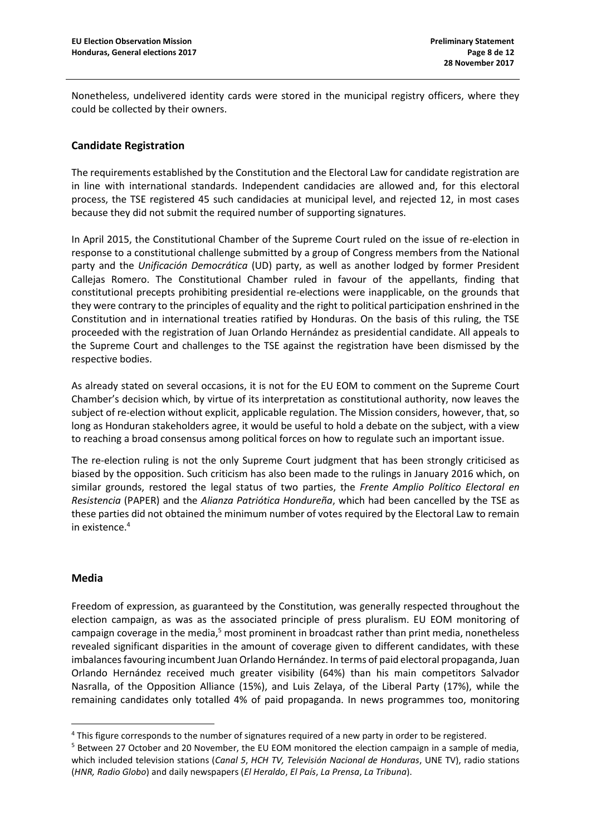Nonetheless, undelivered identity cards were stored in the municipal registry officers, where they could be collected by their owners.

## **Candidate Registration**

The requirements established by the Constitution and the Electoral Law for candidate registration are in line with international standards. Independent candidacies are allowed and, for this electoral process, the TSE registered 45 such candidacies at municipal level, and rejected 12, in most cases because they did not submit the required number of supporting signatures.

In April 2015, the Constitutional Chamber of the Supreme Court ruled on the issue of re-election in response to a constitutional challenge submitted by a group of Congress members from the National party and the *Unificación Democrática* (UD) party, as well as another lodged by former President Callejas Romero. The Constitutional Chamber ruled in favour of the appellants, finding that constitutional precepts prohibiting presidential re-elections were inapplicable, on the grounds that they were contrary to the principles of equality and the right to political participation enshrined in the Constitution and in international treaties ratified by Honduras. On the basis of this ruling, the TSE proceeded with the registration of Juan Orlando Hernández as presidential candidate. All appeals to the Supreme Court and challenges to the TSE against the registration have been dismissed by the respective bodies.

As already stated on several occasions, it is not for the EU EOM to comment on the Supreme Court Chamber's decision which, by virtue of its interpretation as constitutional authority, now leaves the subject of re-election without explicit, applicable regulation. The Mission considers, however, that, so long as Honduran stakeholders agree, it would be useful to hold a debate on the subject, with a view to reaching a broad consensus among political forces on how to regulate such an important issue.

The re-election ruling is not the only Supreme Court judgment that has been strongly criticised as biased by the opposition. Such criticism has also been made to the rulings in January 2016 which, on similar grounds, restored the legal status of two parties, the *Frente Amplio Político Electoral en Resistencia* (PAPER) and the *Alianza Patriótica Hondureña*, which had been cancelled by the TSE as these parties did not obtained the minimum number of votes required by the Electoral Law to remain in existence.<sup>4</sup>

## **Media**

1

Freedom of expression, as guaranteed by the Constitution, was generally respected throughout the election campaign, as was as the associated principle of press pluralism. EU EOM monitoring of campaign coverage in the media, $5$  most prominent in broadcast rather than print media, nonetheless revealed significant disparities in the amount of coverage given to different candidates, with these imbalances favouring incumbent Juan Orlando Hernández. In terms of paid electoral propaganda, Juan Orlando Hernández received much greater visibility (64%) than his main competitors Salvador Nasralla, of the Opposition Alliance (15%), and Luis Zelaya, of the Liberal Party (17%), while the remaining candidates only totalled 4% of paid propaganda. In news programmes too, monitoring

<sup>4</sup> This figure corresponds to the number of signatures required of a new party in order to be registered. <sup>5</sup> Between 27 October and 20 November, the EU EOM monitored the election campaign in a sample of media,

which included television stations (*Canal 5*, *HCH TV, Televisión Nacional de Honduras*, UNE TV), radio stations (*HNR, Radio Globo*) and daily newspapers (*El Heraldo*, *El País*, *La Prensa*, *La Tribuna*).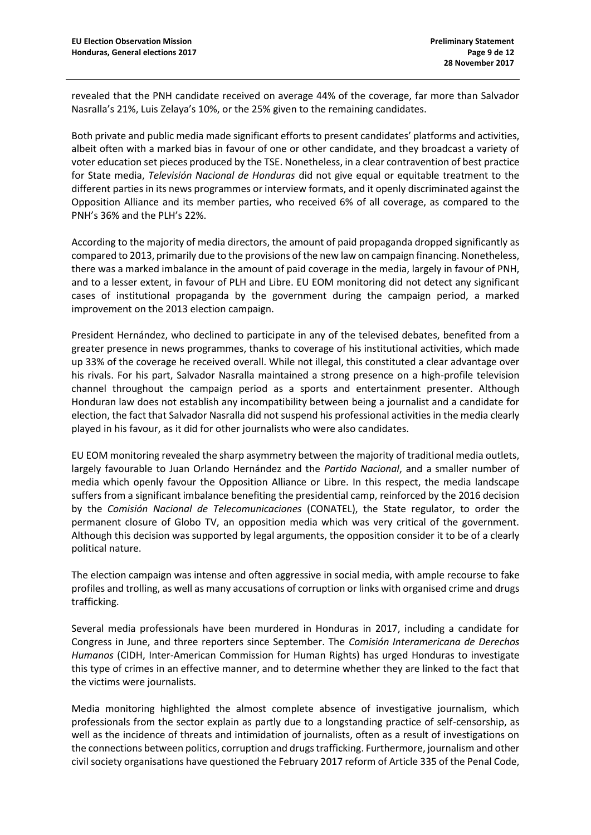revealed that the PNH candidate received on average 44% of the coverage, far more than Salvador Nasralla's 21%, Luis Zelaya's 10%, or the 25% given to the remaining candidates.

Both private and public media made significant efforts to present candidates' platforms and activities, albeit often with a marked bias in favour of one or other candidate, and they broadcast a variety of voter education set pieces produced by the TSE. Nonetheless, in a clear contravention of best practice for State media, *Televisión Nacional de Honduras* did not give equal or equitable treatment to the different parties in its news programmes or interview formats, and it openly discriminated against the Opposition Alliance and its member parties, who received 6% of all coverage, as compared to the PNH's 36% and the PLH's 22%.

According to the majority of media directors, the amount of paid propaganda dropped significantly as compared to 2013, primarily due to the provisions of the new law on campaign financing. Nonetheless, there was a marked imbalance in the amount of paid coverage in the media, largely in favour of PNH, and to a lesser extent, in favour of PLH and Libre. EU EOM monitoring did not detect any significant cases of institutional propaganda by the government during the campaign period, a marked improvement on the 2013 election campaign.

President Hernández, who declined to participate in any of the televised debates, benefited from a greater presence in news programmes, thanks to coverage of his institutional activities, which made up 33% of the coverage he received overall. While not illegal, this constituted a clear advantage over his rivals. For his part, Salvador Nasralla maintained a strong presence on a high-profile television channel throughout the campaign period as a sports and entertainment presenter. Although Honduran law does not establish any incompatibility between being a journalist and a candidate for election, the fact that Salvador Nasralla did not suspend his professional activities in the media clearly played in his favour, as it did for other journalists who were also candidates.

EU EOM monitoring revealed the sharp asymmetry between the majority of traditional media outlets, largely favourable to Juan Orlando Hernández and the *Partido Nacional*, and a smaller number of media which openly favour the Opposition Alliance or Libre. In this respect, the media landscape suffers from a significant imbalance benefiting the presidential camp, reinforced by the 2016 decision by the *Comisión Nacional de Telecomunicaciones* (CONATEL), the State regulator, to order the permanent closure of Globo TV, an opposition media which was very critical of the government. Although this decision was supported by legal arguments, the opposition consider it to be of a clearly political nature.

The election campaign was intense and often aggressive in social media, with ample recourse to fake profiles and trolling, as well as many accusations of corruption or links with organised crime and drugs trafficking.

Several media professionals have been murdered in Honduras in 2017, including a candidate for Congress in June, and three reporters since September. The *Comisión Interamericana de Derechos Humanos* (CIDH, Inter-American Commission for Human Rights) has urged Honduras to investigate this type of crimes in an effective manner, and to determine whether they are linked to the fact that the victims were journalists.

Media monitoring highlighted the almost complete absence of investigative journalism, which professionals from the sector explain as partly due to a longstanding practice of self-censorship, as well as the incidence of threats and intimidation of journalists, often as a result of investigations on the connections between politics, corruption and drugs trafficking. Furthermore, journalism and other civil society organisations have questioned the February 2017 reform of Article 335 of the Penal Code,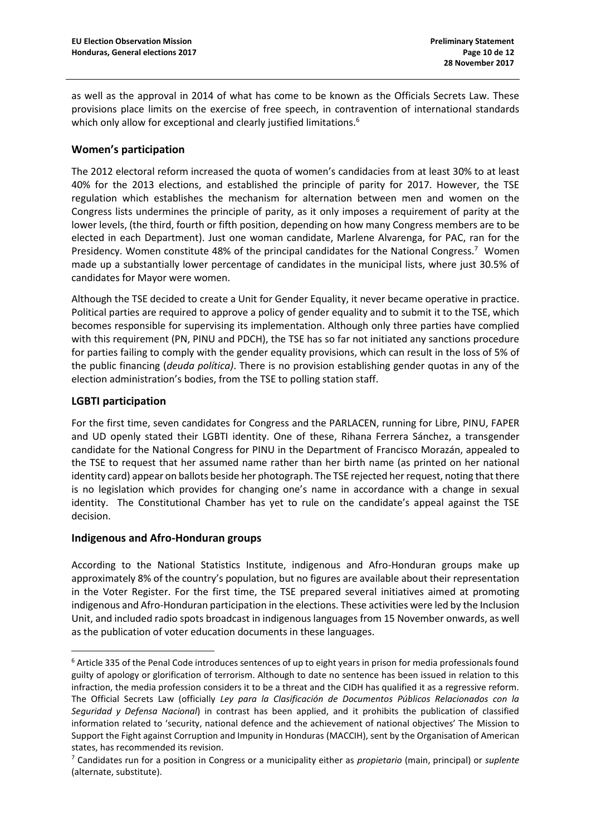as well as the approval in 2014 of what has come to be known as the Officials Secrets Law. These provisions place limits on the exercise of free speech, in contravention of international standards which only allow for exceptional and clearly justified limitations.<sup>6</sup>

## **Women's participation**

The 2012 electoral reform increased the quota of women's candidacies from at least 30% to at least 40% for the 2013 elections, and established the principle of parity for 2017. However, the TSE regulation which establishes the mechanism for alternation between men and women on the Congress lists undermines the principle of parity, as it only imposes a requirement of parity at the lower levels, (the third, fourth or fifth position, depending on how many Congress members are to be elected in each Department). Just one woman candidate, Marlene Alvarenga, for PAC, ran for the Presidency. Women constitute 48% of the principal candidates for the National Congress.<sup>7</sup> Women made up a substantially lower percentage of candidates in the municipal lists, where just 30.5% of candidates for Mayor were women.

Although the TSE decided to create a Unit for Gender Equality, it never became operative in practice. Political parties are required to approve a policy of gender equality and to submit it to the TSE, which becomes responsible for supervising its implementation. Although only three parties have complied with this requirement (PN, PINU and PDCH), the TSE has so far not initiated any sanctions procedure for parties failing to comply with the gender equality provisions, which can result in the loss of 5% of the public financing (*deuda política)*. There is no provision establishing gender quotas in any of the election administration's bodies, from the TSE to polling station staff.

## **LGBTI participation**

1

For the first time, seven candidates for Congress and the PARLACEN, running for Libre, PINU, FAPER and UD openly stated their LGBTI identity. One of these, Rihana Ferrera Sánchez, a transgender candidate for the National Congress for PINU in the Department of Francisco Morazán, appealed to the TSE to request that her assumed name rather than her birth name (as printed on her national identity card) appear on ballots beside her photograph. The TSE rejected her request, noting that there is no legislation which provides for changing one's name in accordance with a change in sexual identity. The Constitutional Chamber has yet to rule on the candidate's appeal against the TSE decision.

## **Indigenous and Afro-Honduran groups**

According to the National Statistics Institute, indigenous and Afro-Honduran groups make up approximately 8% of the country's population, but no figures are available about their representation in the Voter Register. For the first time, the TSE prepared several initiatives aimed at promoting indigenous and Afro-Honduran participation in the elections. These activities were led by the Inclusion Unit, and included radio spots broadcast in indigenous languages from 15 November onwards, as well as the publication of voter education documents in these languages.

<sup>6</sup> Article 335 of the Penal Code introduces sentences of up to eight years in prison for media professionals found guilty of apology or glorification of terrorism. Although to date no sentence has been issued in relation to this infraction, the media profession considers it to be a threat and the CIDH has qualified it as a regressive reform. The Official Secrets Law (officially *Ley para la Clasificación de Documentos Públicos Relacionados con la Seguridad y Defensa Nacional*) in contrast has been applied, and it prohibits the publication of classified information related to 'security, national defence and the achievement of national objectives' The Mission to Support the Fight against Corruption and Impunity in Honduras (MACCIH), sent by the Organisation of American states, has recommended its revision.

<sup>7</sup> Candidates run for a position in Congress or a municipality either as *propietario* (main, principal) or *suplente*  (alternate, substitute).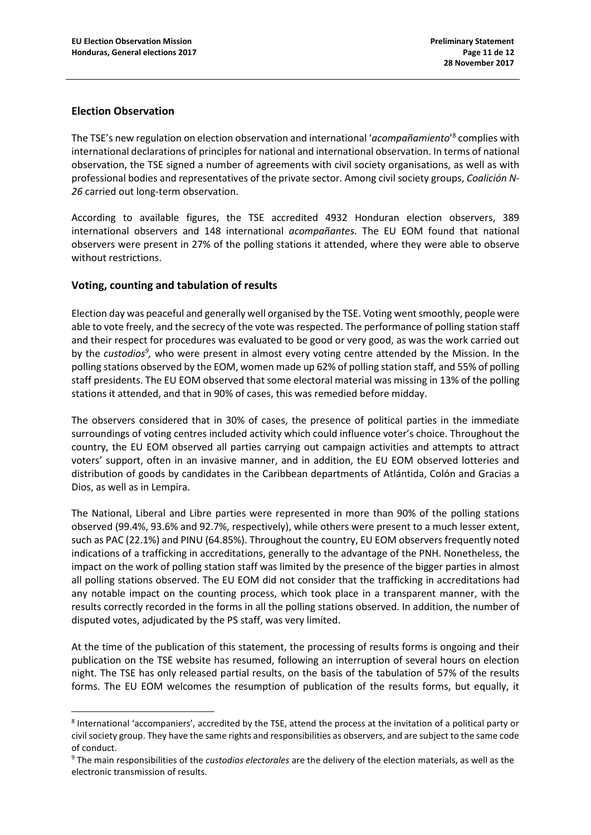#### **Election Observation**

1

The TSE's new regulation on election observation and international 'acompañamiento'<sup>8</sup> complies with international declarations of principles for national and international observation. In terms of national observation, the TSE signed a number of agreements with civil society organisations, as well as with professional bodies and representatives of the private sector. Among civil society groups, *Coalición N-26* carried out long-term observation.

According to available figures, the TSE accredited 4932 Honduran election observers, 389 international observers and 148 international *acompañantes.* The EU EOM found that national observers were present in 27% of the polling stations it attended, where they were able to observe without restrictions.

## **Voting, counting and tabulation of results**

Election day was peaceful and generally well organised by the TSE. Voting went smoothly, people were able to vote freely, and the secrecy of the vote was respected. The performance of polling station staff and their respect for procedures was evaluated to be good or very good, as was the work carried out by the *custodios<sup>9</sup>*, who were present in almost every voting centre attended by the Mission. In the polling stations observed by the EOM, women made up 62% of polling station staff, and 55% of polling staff presidents. The EU EOM observed that some electoral material was missing in 13% of the polling stations it attended, and that in 90% of cases, this was remedied before midday.

The observers considered that in 30% of cases, the presence of political parties in the immediate surroundings of voting centres included activity which could influence voter's choice. Throughout the country, the EU EOM observed all parties carrying out campaign activities and attempts to attract voters' support, often in an invasive manner, and in addition, the EU EOM observed lotteries and distribution of goods by candidates in the Caribbean departments of Atlántida, Colón and Gracias a Dios, as well as in Lempira.

The National, Liberal and Libre parties were represented in more than 90% of the polling stations observed (99.4%, 93.6% and 92.7%, respectively), while others were present to a much lesser extent, such as PAC (22.1%) and PINU (64.85%). Throughout the country, EU EOM observers frequently noted indications of a trafficking in accreditations, generally to the advantage of the PNH. Nonetheless, the impact on the work of polling station staff was limited by the presence of the bigger parties in almost all polling stations observed. The EU EOM did not consider that the trafficking in accreditations had any notable impact on the counting process, which took place in a transparent manner, with the results correctly recorded in the forms in all the polling stations observed. In addition, the number of disputed votes, adjudicated by the PS staff, was very limited.

At the time of the publication of this statement, the processing of results forms is ongoing and their publication on the TSE website has resumed, following an interruption of several hours on election night. The TSE has only released partial results, on the basis of the tabulation of 57% of the results forms. The EU EOM welcomes the resumption of publication of the results forms, but equally, it

<sup>8</sup> International 'accompaniers', accredited by the TSE, attend the process at the invitation of a political party or civil society group. They have the same rights and responsibilities as observers, and are subject to the same code of conduct.

<sup>9</sup> The main responsibilities of the *custodios electorales* are the delivery of the election materials, as well as the electronic transmission of results.